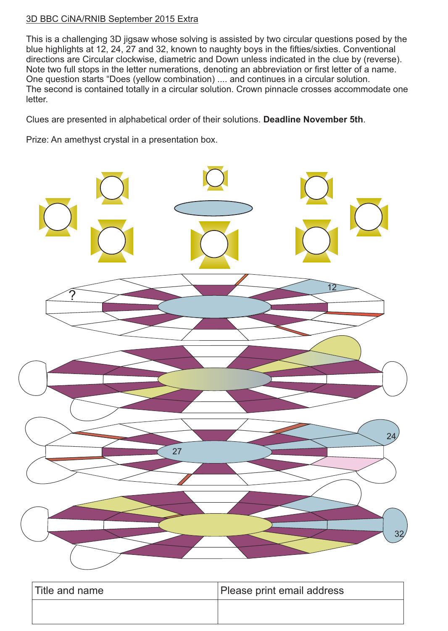## 3D BBC CiNA/RNIB September 2015 Extra

This is a challenging 3D jigsaw whose solving is assisted by two circular questions posed by the blue highlights at 12, 24, 27 and 32, known to naughty boys in the fifties/sixties. Conventional directions are Circular clockwise, diametric and Down unless indicated in the clue by (reverse). Note two full stops in the letter numerations, denoting an abbreviation or first letter of a name. One question starts "Does (yellow combination) .... and continues in a circular solution. The second is contained totally in a circular solution. Crown pinnacle crosses accommodate one letter.

Clues are presented in alphabetical order of their solutions. **Deadline November 5th**.

Prize: An amethyst crystal in a presentation box.



| Title and name | Please print email address |
|----------------|----------------------------|
|                |                            |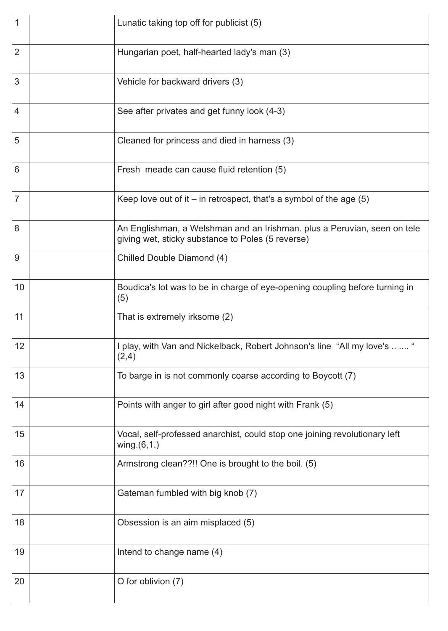| 1              | Lunatic taking top off for publicist (5)                                                                                      |
|----------------|-------------------------------------------------------------------------------------------------------------------------------|
| $\overline{2}$ | Hungarian poet, half-hearted lady's man (3)                                                                                   |
| 3              | Vehicle for backward drivers (3)                                                                                              |
| $\overline{4}$ | See after privates and get funny look (4-3)                                                                                   |
| 5              | Cleaned for princess and died in harness (3)                                                                                  |
| $6\phantom{1}$ | Fresh meade can cause fluid retention (5)                                                                                     |
| $\overline{7}$ | Keep love out of it $-$ in retrospect, that's a symbol of the age $(5)$                                                       |
| 8              | An Englishman, a Welshman and an Irishman. plus a Peruvian, seen on tele<br>giving wet, sticky substance to Poles (5 reverse) |
| 9              | Chilled Double Diamond (4)                                                                                                    |
| 10             | Boudica's lot was to be in charge of eye-opening coupling before turning in<br>(5)                                            |
| 11             | That is extremely irksome (2)                                                                                                 |
| 12             | play, with Van and Nickelback, Robert Johnson's line "All my love's<br>(2,4)                                                  |
| 13             | To barge in is not commonly coarse according to Boycott (7)                                                                   |
| 14             | Points with anger to girl after good night with Frank (5)                                                                     |
| 15             | Vocal, self-professed anarchist, could stop one joining revolutionary left<br>wing. $(6,1.)$                                  |
| 16             | Armstrong clean??!! One is brought to the boil. (5)                                                                           |
| 17             | Gateman fumbled with big knob (7)                                                                                             |
| 18             | Obsession is an aim misplaced (5)                                                                                             |
| 19             | Intend to change name (4)                                                                                                     |
| 20             | O for oblivion (7)                                                                                                            |